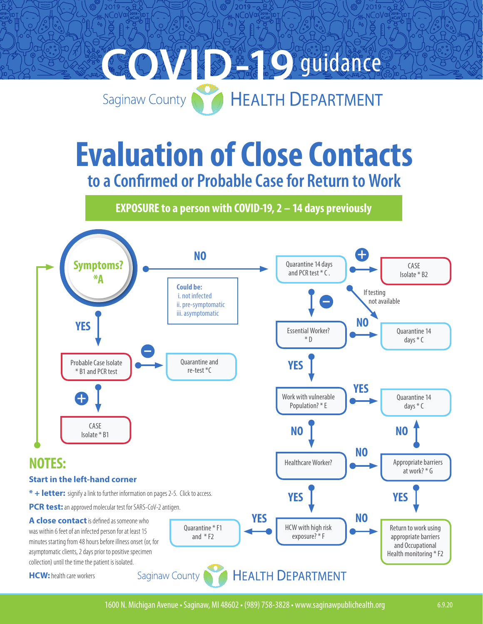

# **Evaluation of Close Contacts to a Confirmed or Probable Case for Return to Work**

**EXPOSURE to a person with COVID-19, 2 – 14 days previously**

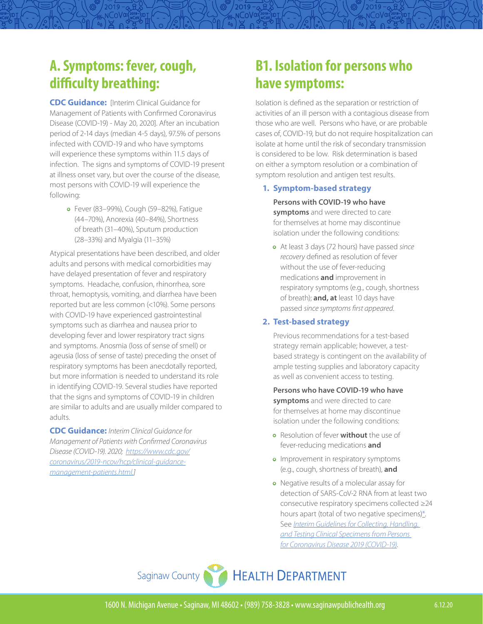# <span id="page-1-0"></span>**A. Symptoms: fever, cough, difficulty breathing:**

**CDC Guidance:** [Interim Clinical Guidance for Management of Patients with Confirmed Coronavirus Disease (COVID-19) - May 20, 2020]. After an incubation period of 2-14 days (median 4-5 days), 97.5% of persons infected with COVID-19 and who have symptoms will experience these symptoms within 11.5 days of infection. The signs and symptoms of COVID-19 present at illness onset vary, but over the course of the disease, most persons with COVID-19 will experience the following:

**•** Fever (83–99%), Cough (59–82%), Fatigue (44–70%), Anorexia (40–84%), Shortness of breath (31–40%), Sputum production (28–33%) and Myalgia (11–35%)

Atypical presentations have been described, and older adults and persons with medical comorbidities may have delayed presentation of fever and respiratory symptoms. Headache, confusion, rhinorrhea, sore throat, hemoptysis, vomiting, and diarrhea have been reported but are less common (<10%). Some persons with COVID-19 have experienced gastrointestinal symptoms such as diarrhea and nausea prior to developing fever and lower respiratory tract signs and symptoms. Anosmia (loss of sense of smell) or ageusia (loss of sense of taste) preceding the onset of respiratory symptoms has been anecdotally reported, but more information is needed to understand its role in identifying COVID-19. Several studies have reported that the signs and symptoms of COVID-19 in children are similar to adults and are usually milder compared to adults.

**CDC Guidance:** *Interim Clinical Guidance for Management of Patients with Confirmed Coronavirus Disease (COVID-19). 2020; [https://www.cdc.gov/](https://www.cdc.gov/coronavirus/2019-ncov/hcp/clinical-guidance-management-patients.html) [coronavirus/2019-ncov/hcp/clinical-guidance](https://www.cdc.gov/coronavirus/2019-ncov/hcp/clinical-guidance-management-patients.html)[management-patients.html.](https://www.cdc.gov/coronavirus/2019-ncov/hcp/clinical-guidance-management-patients.html)]*

# <span id="page-1-1"></span>**B1. Isolation for persons who have symptoms:**

 $2019 -$ NCOVQ

> Isolation is defined as the separation or restriction of activities of an ill person with a contagious disease from those who are well. Persons who have, or are probable cases of, COVID-19, but do not require hospitalization can isolate at home until the risk of secondary transmission is considered to be low. Risk determination is based on either a symptom resolution or a combination of symptom resolution and antigen test results.

#### **1. Symptom-based strategy**

**Persons with COVID-19 who have symptoms** and were directed to care for themselves at home may discontinue isolation under the following conditions:

**•** At least 3 days (72 hours) have passed *since recovery* defined as resolution of fever without the use of fever-reducing medications **and** improvement in respiratory symptoms (e.g., cough, shortness of breath); **and, at** least 10 days have passed *since symptoms first appeared*.

#### **2. Test-based strategy**

Previous recommendations for a test-based strategy remain applicable; however, a testbased strategy is contingent on the availability of ample testing supplies and laboratory capacity as well as convenient access to testing.

**Persons who have COVID-19 who have symptoms** and were directed to care for themselves at home may discontinue isolation under the following conditions:

- **•** Resolution of fever **without** the use of fever-reducing medications **and**
- **•** Improvement in respiratory symptoms (e.g., cough, shortness of breath), **and**
- **•** Negative results of a molecular assay for detection of SARS-CoV-2 RNA from at least two consecutive respiratory specimens collected ≥24 hours apart (total of two negative specimens[\)\\*.](https://www.cdc.gov/coronavirus/2019-ncov/hcp/disposition-in-home-patients.html#st3) See *[Interim Guidelines for Collecting, Handling,](https://www.cdc.gov/coronavirus/2019-nCoV/lab/guidelines-clinical-specimens.html)  [and Testing Clinical Specimens from Persons](https://www.cdc.gov/coronavirus/2019-nCoV/lab/guidelines-clinical-specimens.html)  [for Coronavirus Disease 2019 \(COVID-19\)](https://www.cdc.gov/coronavirus/2019-nCoV/lab/guidelines-clinical-specimens.html)*.

Saginaw County HEALTH DEPARTMENT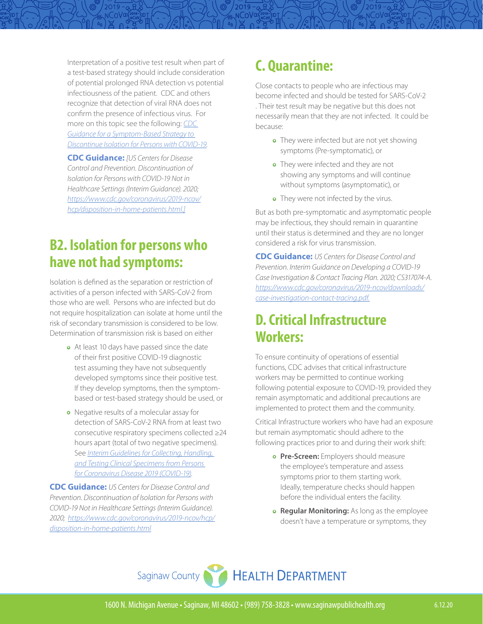Interpretation of a positive test result when part of a test-based strategy should include consideration of potential prolonged RNA detection vs potential infectiousness of the patient. CDC and others recognize that detection of viral RNA does not confirm the presence of infectious virus. For more on this topic see the following: *[CDC](https://www.cdc.gov/coronavirus/2019-ncov/community/strategy-discontinue-isolation.html?deliveryName=USCDC_2067-DM27395)  [Guidance for a Symptom-Based Strategy to](https://www.cdc.gov/coronavirus/2019-ncov/community/strategy-discontinue-isolation.html?deliveryName=USCDC_2067-DM27395)  [Discontinue Isolation for Persons with COVID-19.](https://www.cdc.gov/coronavirus/2019-ncov/community/strategy-discontinue-isolation.html?deliveryName=USCDC_2067-DM27395)*

**CDC Guidance:** *[US Centers for Disease Control and Prevention. Discontinuation of Isolation for Persons with COVID-19 Not in Healthcare Settings (Interim Guidance). 2020; [https://www.cdc.gov/coronavirus/2019-ncov/](https://www.cdc.gov/coronavirus/2019-ncov/hcp/disposition-in-home-patients.html) [hcp/disposition-in-home-patients.html.](https://www.cdc.gov/coronavirus/2019-ncov/hcp/disposition-in-home-patients.html)]*

# <span id="page-2-1"></span>**B2. Isolation for persons who have not had symptoms:**

Isolation is defined as the separation or restriction of activities of a person infected with SARS-CoV-2 from those who are well. Persons who are infected but do not require hospitalization can isolate at home until the risk of secondary transmission is considered to be low. Determination of transmission risk is based on either

- **•** At least 10 days have passed since the date of their first positive COVID-19 diagnostic test assuming they have not subsequently developed symptoms since their positive test. If they develop symptoms, then the symptombased or test-based strategy should be used, or
- **•** Negative results of a molecular assay for detection of SARS-CoV-2 RNA from at least two consecutive respiratory specimens collected ≥24 hours apart (total of two negative specimens). See *[Interim Guidelines for Collecting, Handling,](https://www.cdc.gov/coronavirus/2019-nCoV/lab/guidelines-clinical-specimens.html)  [and Testing Clinical Specimens from Persons](https://www.cdc.gov/coronavirus/2019-nCoV/lab/guidelines-clinical-specimens.html)  [for Coronavirus Disease 2019 \(COVID-19\)](https://www.cdc.gov/coronavirus/2019-nCoV/lab/guidelines-clinical-specimens.html)*.

**CDC Guidance:** *US Centers for Disease Control and Prevention. Discontinuation of Isolation for Persons with COVID-19 Not in Healthcare Settings (Interim Guidance). 2020; [https://www.cdc.gov/coronavirus/2019-ncov/hcp/](https://www.cdc.gov/coronavirus/2019-ncov/hcp/disposition-in-home-patients.html) [disposition-in-home-patients.html](https://www.cdc.gov/coronavirus/2019-ncov/hcp/disposition-in-home-patients.html)*

# <span id="page-2-0"></span>**C. Quarantine:**

 $2019 -$ NCoV¤

> Close contacts to people who are infectious may become infected and should be tested for SARS-CoV-2 . Their test result may be negative but this does not necessarily mean that they are not infected. It could be because:

- **•** They were infected but are not yet showing symptoms (Pre-symptomatic), or
- **•** They were infected and they are not showing any symptoms and will continue without symptoms (asymptomatic), or
- **•** They were not infected by the virus.

But as both pre-symptomatic and asymptomatic people may be infectious, they should remain in quarantine until their status is determined and they are no longer considered a risk for virus transmission.

**CDC Guidance:** *US Centers for Disease Control and Prevention. Interim Guidance on Developing a COVID-19 Case Investigation & Contact Tracing Plan. 2020; CS317074-A. [https://www.cdc.gov/coronavirus/2019-ncov/downloads/](https://www.cdc.gov/coronavirus/2019-ncov/downloads/case-investigation-contact-tracing.pdf) [case-investigation-contact-tracing.pdf.](https://www.cdc.gov/coronavirus/2019-ncov/downloads/case-investigation-contact-tracing.pdf)*

# <span id="page-2-2"></span>**D. Critical Infrastructure Workers:**

To ensure continuity of operations of essential functions, CDC advises that critical infrastructure workers may be permitted to continue working following potential exposure to COVID-19, provided they remain asymptomatic and additional precautions are implemented to protect them and the community.

Critical Infrastructure workers who have had an exposure but remain asymptomatic should adhere to the following practices prior to and during their work shift:

- **• Pre-Screen:** Employers should measure the employee's temperature and assess symptoms prior to them starting work. Ideally, temperature checks should happen before the individual enters the facility.
- **• Regular Monitoring:** As long as the employee doesn't have a temperature or symptoms, they

Saginaw County HEALTH DEPARTMENT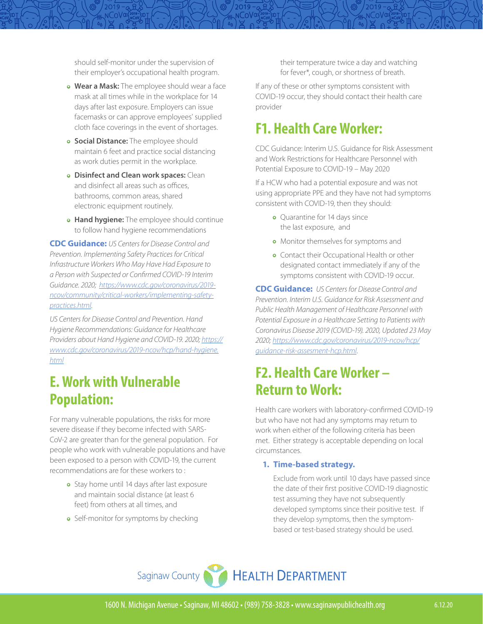should self-monitor under the supervision of their employer's occupational health program.

- **• Wear a Mask:** The employee should wear a face mask at all times while in the workplace for 14 days after last exposure. Employers can issue facemasks or can approve employees' supplied cloth face coverings in the event of shortages.
- **• Social Distance:** The employee should maintain 6 feet and practice social distancing as work duties permit in the workplace.
- **• Disinfect and Clean work spaces:** Clean and disinfect all areas such as offices, bathrooms, common areas, shared electronic equipment routinely.
- **• Hand hygiene:** The employee should continue to follow hand hygiene recommendations

**CDC Guidance:** *US Centers for Disease Control and Prevention. Implementing Safety Practices for Critical Infrastructure Workers Who May Have Had Exposure to a Person with Suspected or Confirmed COVID-19 Interim Guidance. 2020; [https://www.cdc.gov/coronavirus/2019](https://www.cdc.gov/coronavirus/2019-ncov/community/critical-workers/implementing-safety-practices.html.) [ncov/community/critical-workers/implementing-safety](https://www.cdc.gov/coronavirus/2019-ncov/community/critical-workers/implementing-safety-practices.html.)[practices.html](https://www.cdc.gov/coronavirus/2019-ncov/community/critical-workers/implementing-safety-practices.html.)*.

*US Centers for Disease Control and Prevention. Hand Hygiene Recommendations: Guidance for Healthcare Providers about Hand Hygiene and COVID-19. 2020; [https://](https://www.cdc.gov/coronavirus/2019-ncov/hcp/hand-hygiene.html) [www.cdc.gov/coronavirus/2019-ncov/hcp/hand-hygiene.](https://www.cdc.gov/coronavirus/2019-ncov/hcp/hand-hygiene.html) [html](https://www.cdc.gov/coronavirus/2019-ncov/hcp/hand-hygiene.html)*

### <span id="page-3-2"></span>**E. Work with Vulnerable Population:**

For many vulnerable populations, the risks for more severe disease if they become infected with SARS-CoV-2 are greater than for the general population. For people who work with vulnerable populations and have been exposed to a person with COVID-19, the current recommendations are for these workers to :

- **•** Stay home until 14 days after last exposure and maintain social distance (at least 6 feet) from others at all times, and
- **•** Self-monitor for symptoms by checking

their temperature twice a day and watching for fever\*, cough, or shortness of breath.

If any of these or other symptoms consistent with COVID-19 occur, they should contact their health care provider

### <span id="page-3-1"></span>**F1. Health Care Worker:**

 $2019 -$ NCoVa

> CDC Guidance: Interim U.S. Guidance for Risk Assessment and Work Restrictions for Healthcare Personnel with Potential Exposure to COVID-19 – May 2020

> If a HCW who had a potential exposure and was not using appropriate PPE and they have not had symptoms consistent with COVID-19, then they should:

- **•** Quarantine for 14 days since the last exposure, and
- **•** Monitor themselves for symptoms and
- **•** Contact their Occupational Health or other designated contact immediately if any of the symptoms consistent with COVID-19 occur.

**CDC Guidance:** *US Centers for Disease Control and Prevention. Interim U.S. Guidance for Risk Assessment and Public Health Management of Healthcare Personnel with Potential Exposure in a Healthcare Setting to Patients with Coronavirus Disease 2019 (COVID-19). 2020, Updated 23 May 2020; [https://www.cdc.gov/coronavirus/2019-ncov/hcp/](https://www.cdc.gov/coronavirus/2019-ncov/hcp/guidance-risk-assesment-hcp.html) [guidance-risk-assesment-hcp.html](https://www.cdc.gov/coronavirus/2019-ncov/hcp/guidance-risk-assesment-hcp.html)*.

# <span id="page-3-0"></span>**F2. Health Care Worker – Return to Work:**

Health care workers with laboratory-confirmed COVID-19 but who have not had any symptoms may return to work when either of the following criteria has been met. Either strategy is acceptable depending on local circumstances.

#### **1. Time-based strategy.**

Exclude from work until 10 days have passed since the date of their first positive COVID-19 diagnostic test assuming they have not subsequently developed symptoms since their positive test. If they develop symptoms, then the symptombased or test-based strategy should be used.

Saginaw County HEALTH DEPARTMENT